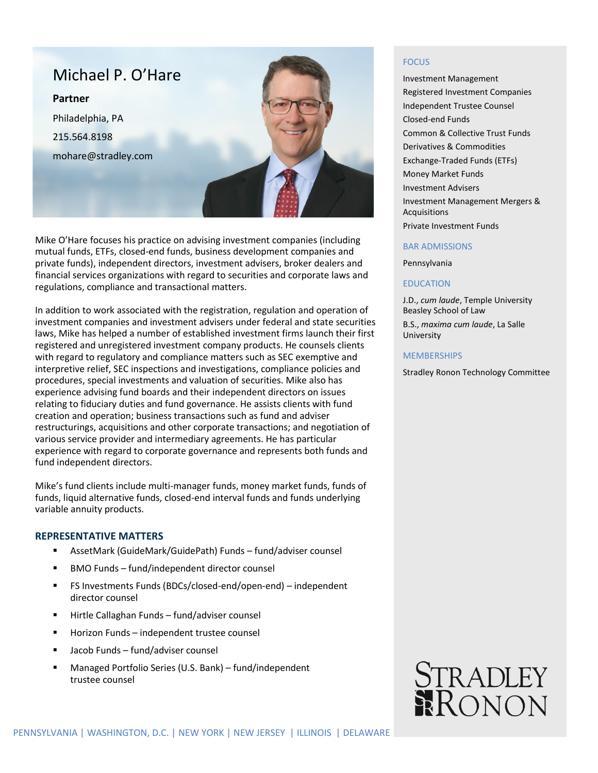

Mike O'Hare focuses his practice on advising investment companies (including mutual funds, ETFs, closed-end funds, business development companies and private funds), independent directors, investment advisers, broker dealers and financial services organizations with regard to securities and corporate laws and regulations, compliance and transactional matters.

In addition to work associated with the registration, regulation and operation of investment companies and investment advisers under federal and state securities laws, Mike has helped a number of established investment firms launch their first registered and unregistered investment company products. He counsels clients with regard to regulatory and compliance matters such as SEC exemptive and interpretive relief, SEC inspections and investigations, compliance policies and procedures, special investments and valuation of securities. Mike also has experience advising fund boards and their independent directors on issues relating to fiduciary duties and fund governance. He assists clients with fund creation and operation; business transactions such as fund and adviser restructurings, acquisitions and other corporate transactions; and negotiation of various service provider and intermediary agreements. He has particular experience with regard to corporate governance and represents both funds and fund independent directors.

Mike's fund clients include multi-manager funds, money market funds, funds of funds, liquid alternative funds, closed-end interval funds and funds underlying variable annuity products.

# **REPRESENTATIVE MATTERS**

- AssetMark (GuideMark/GuidePath) Funds fund/adviser counsel
- **BMO Funds fund/independent director counsel**
- FS Investments Funds (BDCs/closed-end/open-end) independent director counsel
- Hirtle Callaghan Funds fund/adviser counsel
- Horizon Funds independent trustee counsel
- Jacob Funds fund/adviser counsel
- Managed Portfolio Series (U.S. Bank) fund/independent trustee counsel

## **FOCUS**

Investment Management Registered Investment Companies Independent Trustee Counsel Closed-end Funds Common & Collective Trust Funds Derivatives & Commodities Exchange-Traded Funds (ETFs) Money Market Funds Investment Advisers Investment Management Mergers & Acquisitions Private Investment Funds

## BAR ADMISSIONS

Pennsylvania

## EDUCATION

J.D., *cum laude*, Temple University Beasley School of Law B.S., *maxima cum laude*, La Salle University

#### **MEMBERSHIPS**

Stradley Ronon Technology Committee